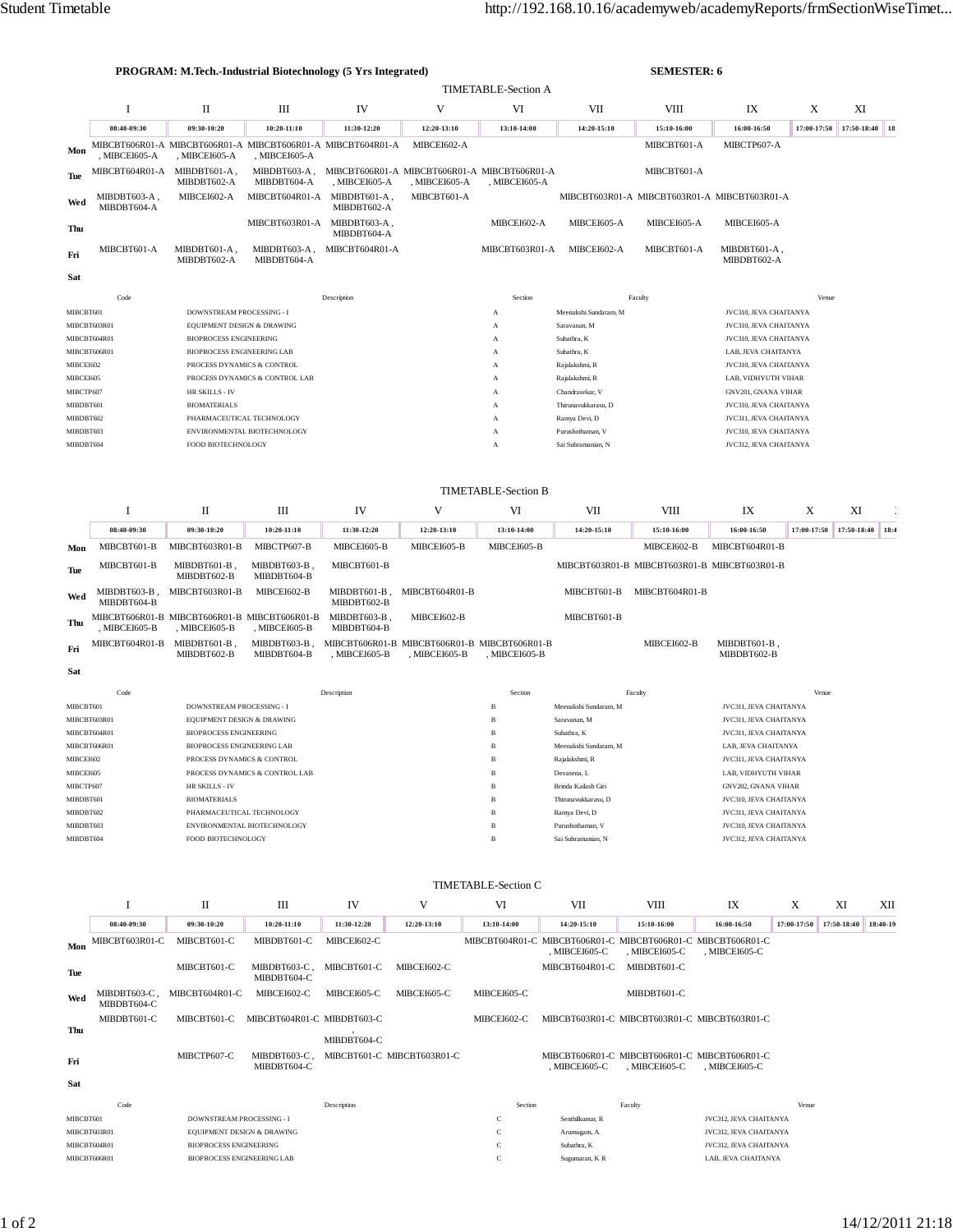| <b>PROGRAM: M.Tech.-Industrial Biotechnology (5 Yrs Integrated)</b> |                             |                                                               |                                                                                             |                                                               |                | <b>SEMESTER: 6</b>                |                                       |                                              |                             |                        |                  |     |
|---------------------------------------------------------------------|-----------------------------|---------------------------------------------------------------|---------------------------------------------------------------------------------------------|---------------------------------------------------------------|----------------|-----------------------------------|---------------------------------------|----------------------------------------------|-----------------------------|------------------------|------------------|-----|
|                                                                     |                             | <b>TIMETABLE-Section A</b>                                    |                                                                                             |                                                               |                |                                   |                                       |                                              |                             |                        |                  |     |
|                                                                     | <b>I</b>                    | П                                                             | Ш                                                                                           | IV                                                            | V              | VI                                | VII                                   | VIII                                         | IX                          | X                      | XI               |     |
|                                                                     | 08:40-09:30                 | 09:30-10:20                                                   | 10:20-11:10                                                                                 | 11:30-12:20                                                   | 12:20-13:10    | 13:10-14:00                       | 14:20-15:10                           | 15:10-16:00                                  | 16:00-16:50                 | 17:00-17:50            | 17:50-18:40      | 18: |
| Mon                                                                 | , MIBCEI605-A               | , MIBCEI605-A                                                 | , MIBCEI605-A                                                                               | MIBCBT606R01-A MIBCBT606R01-A MIBCBT606R01-A MIBCBT604R01-A   | MIBCEI602-A    |                                   |                                       | MIBCBT601-A                                  | MIBCTP607-A                 |                        |                  |     |
| Tue                                                                 | MIBCBT604R01-A              | MIBDBT601-A.<br>MIBDBT602-A                                   | MIBDBT603-A,<br>MIBDBT604-A                                                                 | MIBCBT606R01-A MIBCBT606R01-A MIBCBT606R01-A<br>, MIBCEI605-A | , MIBCEI605-A  | , MIBCEI605-A                     |                                       | MIBCBT601-A                                  |                             |                        |                  |     |
| Wed                                                                 | MIBDBT603-A,<br>MIBDBT604-A | MIBCEI602-A                                                   | MIBCBT604R01-A                                                                              | MIBDBT601-A,<br>MIBDBT602-A                                   | MIBCBT601-A    |                                   |                                       | MIBCBT603R01-A MIBCBT603R01-A MIBCBT603R01-A |                             |                        |                  |     |
| Thu                                                                 |                             |                                                               | MIBCBT603R01-A                                                                              | MIBDBT603-A,<br>MIBDBT604-A                                   |                | MIBCEI602-A                       | MIBCEI605-A                           | MIBCEI605-A                                  | MIBCEI605-A                 |                        |                  |     |
| Fri                                                                 | MIBCBT601-A                 | MIBDBT601-A,<br>MIBDBT602-A                                   | MIBDBT603-A,<br>MIBDBT604-A                                                                 | MIBCBT604R01-A                                                |                | MIBCBT603R01-A                    | MIBCEI602-A                           | MIBCBT601-A                                  | MIBDBT601-A,<br>MIBDBT602-A |                        |                  |     |
| Sat                                                                 |                             |                                                               |                                                                                             |                                                               |                |                                   |                                       |                                              |                             |                        |                  |     |
|                                                                     | Code                        |                                                               |                                                                                             | Description                                                   |                | Section                           |                                       | Faculty                                      |                             | Venue                  |                  |     |
| MIBCBT601                                                           |                             | DOWNSTREAM PROCESSING - I                                     |                                                                                             |                                                               |                | A                                 | Meenakshi Sundaram, M                 |                                              | JVC310, JEVA CHAITANYA      |                        |                  |     |
|                                                                     | MIBCBT603R01                | EQUIPMENT DESIGN & DRAWING                                    |                                                                                             |                                                               |                | A                                 | Saravanan, M                          | JVC310, JEVA CHAITANYA                       |                             |                        |                  |     |
|                                                                     | MIBCBT604R01                | <b>BIOPROCESS ENGINEERING</b>                                 |                                                                                             |                                                               |                | A                                 | Subathra, K<br>JVC310, JEVA CHAITANYA |                                              |                             |                        |                  |     |
|                                                                     | MIBCBT606R01                | <b>BIOPROCESS ENGINEERING LAB</b>                             |                                                                                             |                                                               |                | $\mathbf{A}$                      | Subathra, K<br>LAB. JEVA CHAITANYA    |                                              |                             |                        |                  |     |
| MIBCEI602                                                           |                             | PROCESS DYNAMICS & CONTROL                                    |                                                                                             |                                                               |                | Rajalakshmi, R<br>$\overline{A}$  |                                       |                                              | JVC310, JEVA CHAITANYA      |                        |                  |     |
| MIBCEI605                                                           |                             | PROCESS DYNAMICS & CONTROL LAB                                |                                                                                             |                                                               |                | Rajalakshmi, R<br>A               |                                       |                                              | LAB, VIDHYUTH VIHAR         |                        |                  |     |
| MIBCTP607                                                           |                             | HR SKILLS - IV                                                |                                                                                             |                                                               |                | Chandrasekar, V<br>$\overline{A}$ |                                       |                                              | GNV201, GNANA VIHAR         |                        |                  |     |
| MIBDBT601                                                           |                             | <b>BIOMATERIALS</b>                                           |                                                                                             |                                                               |                | Thirunavukkarasu, D<br>A          |                                       |                                              | JVC310, JEVA CHAITANYA      |                        |                  |     |
| MIBDBT602                                                           |                             | PHARMACEUTICAL TECHNOLOGY                                     |                                                                                             |                                                               |                | A                                 | Ramya Devi, D                         |                                              | JVC311, JEVA CHAITANYA      |                        |                  |     |
| MIBDBT603                                                           |                             |                                                               | ENVIRONMENTAL BIOTECHNOLOGY                                                                 |                                                               |                | A                                 | Purushothaman, V                      | JVC310, JEVA CHAITANYA                       |                             |                        |                  |     |
| MIBDBT604                                                           |                             |                                                               | FOOD BIOTECHNOLOGY<br>Sai Subramanian, N<br>JVC312, JEVA CHAITANYA<br>$\boldsymbol{\rm{A}}$ |                                                               |                |                                   |                                       |                                              |                             |                        |                  |     |
|                                                                     | <b>TIMETABLE-Section B</b>  |                                                               |                                                                                             |                                                               |                |                                   |                                       |                                              |                             |                        |                  |     |
|                                                                     | I                           | П                                                             | Ш                                                                                           | IV                                                            | V              | VI                                | VII                                   | VIII                                         | IX                          | X                      | XI               |     |
|                                                                     |                             |                                                               |                                                                                             |                                                               |                |                                   |                                       |                                              |                             |                        |                  |     |
|                                                                     | 08:40-09:30                 | 09:30-10:20                                                   | 10:20-11:10                                                                                 | 11:30-12:20                                                   | 12:20-13:10    | 13:10-14:00                       | 14:20-15:10                           | 15:10-16:00                                  | 16:00-16:50                 | 17:00-17:50            | 17:50-18:40 18:4 |     |
| Mon                                                                 | MIBCBT601-B                 | MIBCBT603R01-B                                                | MIBCTP607-B                                                                                 | MIBCEI605-B                                                   | MIBCEI605-B    | MIBCEI605-B                       |                                       | MIBCEI602-B                                  | MIBCBT604R01-B              |                        |                  |     |
| Tue                                                                 | MIBCBT601-B                 | MIBDBT601-B,<br>MIBDBT602-B                                   | MIBDBT603-B.<br>MIBDBT604-B                                                                 | MIBCBT601-B                                                   |                |                                   |                                       | MIBCBT603R01-B MIBCBT603R01-B MIBCBT603R01-B |                             |                        |                  |     |
| Wed                                                                 | MIBDBT603-B,<br>MIBDBT604-B | MIBCBT603R01-B                                                | MIBCEI602-B                                                                                 | MIBDBT601-B,<br>MIBDBT602-B                                   | MIBCBT604R01-B |                                   | MIBCBT601-B                           | MIBCBT604R01-B                               |                             |                        |                  |     |
| Thu                                                                 | , MIBCEI605-B               | MIBCBT606R01-B MIBCBT606R01-B MIBCBT606R01-B<br>, MIBCEI605-B | , MIBCEI605-B                                                                               | MIBDBT603-B.<br>MIBDBT604-B                                   | MIBCEI602-B    |                                   | MIBCBT601-B                           |                                              |                             |                        |                  |     |
| Fri                                                                 | MIBCBT604R01-B              | MIBDBT601-B.<br>MIBDBT602-B                                   | MIBDBT603-B,<br>MIBDBT604-B                                                                 | MIBCBT606R01-B MIBCBT606R01-B MIBCBT606R01-B<br>, MIBCEI605-B | , MIBCEI605-B  | , MIBCEI605-B                     |                                       | MIBCEI602-B                                  | MIBDBT601-B,<br>MIBDBT602-B |                        |                  |     |
| Sat                                                                 |                             |                                                               |                                                                                             |                                                               |                |                                   |                                       |                                              |                             |                        |                  |     |
|                                                                     | Code                        |                                                               |                                                                                             | Description                                                   |                | Section                           |                                       | Faculty                                      |                             | Venue                  |                  |     |
| MIBCBT601                                                           |                             | DOWNSTREAM PROCESSING - I                                     |                                                                                             |                                                               |                | $\, {\bf B}$                      | Meenakshi Sundaram, M                 |                                              | JVC311, JEVA CHAITANYA      |                        |                  |     |
|                                                                     | MIBCBT603R01                | EQUIPMENT DESIGN & DRAWING                                    |                                                                                             |                                                               |                | $\, {\bf B}$                      | Saravanan, M                          |                                              |                             | JVC311, JEVA CHAITANYA |                  |     |
|                                                                     |                             |                                                               |                                                                                             |                                                               |                |                                   |                                       |                                              |                             |                        |                  |     |

| MIBCBT603R01 | <b>EOUIPMENT DESIGN &amp; DRAWING</b> | B | Saravanan, M          | JVC311, JEVA CHAITANYA |
|--------------|---------------------------------------|---|-----------------------|------------------------|
| MIBCBT604R01 | <b>BIOPROCESS ENGINEERING</b>         | B | Subathra, K           | JVC311, JEVA CHAITANYA |
| MIBCBT606R01 | <b>BIOPROCESS ENGINEERING LAB</b>     | B | Meenakshi Sundaram, M | LAB. JEVA CHAITANYA    |
| MIBCEI602    | PROCESS DYNAMICS & CONTROL.           | B | Rajalakshmi, R        | JVC311. JEVA CHAITANYA |
| MIBCEI605    | PROCESS DYNAMICS & CONTROL LAB        | B | Devasena, L           | LAB. VIDHYUTH VIHAR    |
| MIBCTP607    | HR SKILLS - IV                        | B | Brinda Kailash Giri   | GNV202, GNANA VIHAR    |
| MIBDBT601    | <b>BIOMATERIALS</b>                   | B | Thirunavukkarasu, D   | JVC310, JEVA CHAITANYA |
| MIBDBT602    | PHARMACEUTICAL TECHNOLOGY             | B | Ramya Devi, D         | JVC311, JEVA CHAITANYA |
| MIBDBT603    | ENVIRONMENTAL BIOTECHNOLOGY           | B | Purushothaman, V      | JVC310, JEVA CHAITANYA |
| MIBDBT604    | FOOD BIOTECHNOLOGY                    | B | Sai Subramanian, N    | JVC312, JEVA CHAITANYA |
|              |                                       |   |                       |                        |

|              | <b>TIMETABLE-Section C</b>  |                                   |                             |             |                            |               |                                                                              |                                                               |                               |             |             |          |
|--------------|-----------------------------|-----------------------------------|-----------------------------|-------------|----------------------------|---------------|------------------------------------------------------------------------------|---------------------------------------------------------------|-------------------------------|-------------|-------------|----------|
|              |                             | П                                 | Ш                           | IV          | V                          | VI            | VII                                                                          | VIII                                                          | IX                            | X           | XI          | XII      |
|              | 08:40-09:30                 | 09:30-10:20                       | $10:20 - 11:10$             | 11:30-12:20 | 12:20-13:10                | 13:10-14:00   | 14:20-15:10                                                                  | 15:10-16:00                                                   | 16:00-16:50                   | 17:00-17:50 | 17:50-18:40 | 18:40-19 |
| Mon          | MIBCBT603R01-C              | MIBCBT601-C                       | MIBDBT601-C                 | MIBCEI602-C |                            |               | MIBCBT604R01-C MIBCBT606R01-C MIBCBT606R01-C MIBCBT606R01-C<br>, MIBCEI605-C | . MIBCEI605-C                                                 | , MIBCEI605-C                 |             |             |          |
| Tue          |                             | MIBCBT601-C                       | MIBDBT603-C.<br>MIBDBT604-C | MIBCBT601-C | MIBCEI602-C                |               | MIBCBT604R01-C                                                               | MIBDBT601-C                                                   |                               |             |             |          |
| Wed          | MIBDBT603-C.<br>MIBDBT604-C | MIBCBT604R01-C                    | MIBCEI602-C                 | MIBCEI605-C | MIBCEI605-C                | MIBCEI605-C   |                                                                              | MIBDBT601-C                                                   |                               |             |             |          |
| Thu          | MIBDBT601-C                 | MIBCBT601-C                       | MIBCBT604R01-C MIBDBT603-C  | MIBDBT604-C |                            | MIBCEI602-C   |                                                                              | MIBCBT603R01-C MIBCBT603R01-C MIBCBT603R01-C                  |                               |             |             |          |
| Fri          |                             | MIBCTP607-C                       | MIBDBT603-C.<br>MIBDBT604-C |             | MIBCBT601-C MIBCBT603R01-C |               | . MIBCEI605-C                                                                | MIBCBT606R01-C MIBCBT606R01-C MIBCBT606R01-C<br>, MIBCEI605-C | , MIBCEI605-C                 |             |             |          |
| Sat          |                             |                                   |                             |             |                            |               |                                                                              |                                                               |                               |             |             |          |
|              | Code                        |                                   |                             | Description |                            | Section       |                                                                              | Faculty                                                       |                               | Venue       |             |          |
| MIBCBT601    |                             | <b>DOWNSTREAM PROCESSING - I</b>  |                             |             |                            | $\mathbf C$   | Senthilkumar, R                                                              |                                                               | JVC312, JEVA CHAITANYA        |             |             |          |
| MIBCBT603R01 |                             | EQUIPMENT DESIGN & DRAWING        |                             |             |                            | $\mathcal{C}$ | Arumugam, A                                                                  |                                                               | <b>JVC312, JEVA CHAITANYA</b> |             |             |          |
| MIBCBT604R01 |                             | <b>BIOPROCESS ENGINEERING</b>     |                             |             |                            | $\mathbb{C}$  | Subathra, K                                                                  |                                                               | JVC312, JEVA CHAITANYA        |             |             |          |
| MIBCBT606R01 |                             | <b>BIOPROCESS ENGINEERING LAB</b> |                             |             |                            | $\mathbf C$   | Sugumaran, K R                                                               |                                                               | LAB, JEVA CHAITANYA           |             |             |          |